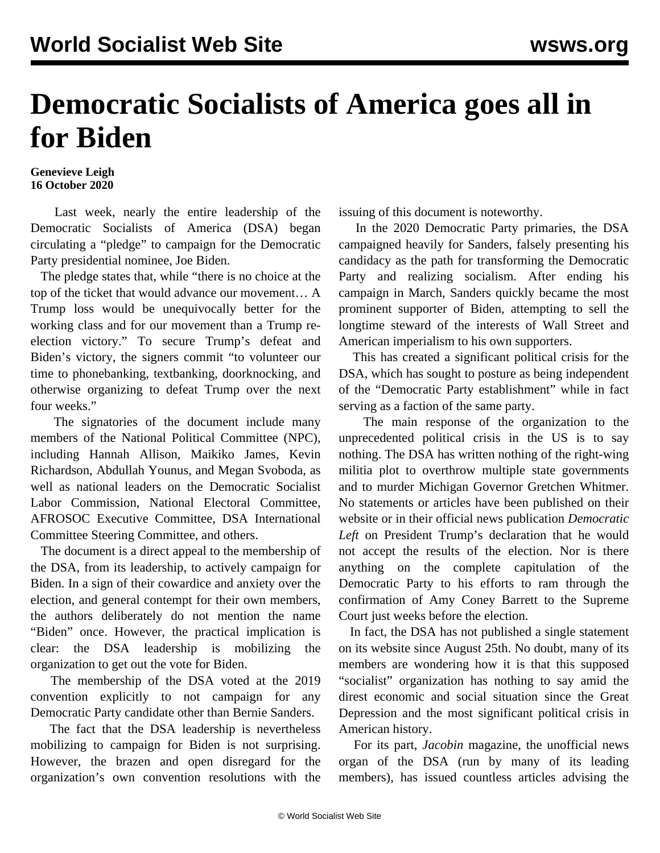## **Democratic Socialists of America goes all in for Biden**

## **Genevieve Leigh 16 October 2020**

 Last week, nearly the entire leadership of the Democratic Socialists of America (DSA) began circulating a "[pledge"](https://docs.google.com/forms/d/e/1FAIpQLSeLowxXwuJhiRNznw057xOiRpY05AeY1-WeKWkDxj9DrfyVxg/viewform?fbclid=IwAR1UPcZuAOMOsfGqNnvk0tBjdUm9j1M1PHya1PQ63oHTz8C7UyCTkX4RkAg) to campaign for the Democratic Party presidential nominee, Joe Biden.

 The pledge states that, while "there is no choice at the top of the ticket that would advance our movement… A Trump loss would be unequivocally better for the working class and for our movement than a Trump reelection victory." To secure Trump's defeat and Biden's victory, the signers commit "to volunteer our time to phonebanking, textbanking, doorknocking, and otherwise organizing to defeat Trump over the next four weeks."

 The signatories of the document include many members of the National Political Committee (NPC), including Hannah Allison, Maikiko James, Kevin Richardson, Abdullah Younus, and Megan Svoboda, as well as national leaders on the Democratic Socialist Labor Commission, National Electoral Committee, AFROSOC Executive Committee, DSA International Committee Steering Committee, and others.

 The document is a direct appeal to the membership of the DSA, from its leadership, to actively campaign for Biden. In a sign of their cowardice and anxiety over the election, and general contempt for their own members, the authors deliberately do not mention the name "Biden" once. However, the practical implication is clear: the DSA leadership is mobilizing the organization to get out the vote for Biden.

 The membership of the DSA voted at the 2019 convention explicitly to not campaign for any Democratic Party candidate other than Bernie Sanders.

 The fact that the DSA leadership is nevertheless mobilizing to campaign for Biden is not surprising. However, the brazen and open disregard for the organization's own convention resolutions with the issuing of this document is noteworthy.

 In the 2020 Democratic Party primaries, the DSA campaigned heavily for Sanders, falsely presenting his candidacy as the path for transforming the Democratic Party and realizing socialism. After ending his campaign in March, Sanders quickly became the most prominent supporter of Biden, attempting to sell the longtime steward of the interests of Wall Street and American imperialism to his own supporters.

 This has created a significant political crisis for the DSA, which has sought to posture as being independent of the "Democratic Party establishment" while in fact serving as a faction of the same party.

 The main response of the organization to the unprecedented political crisis in the US is to say nothing. The DSA has written nothing of the right-wing militia [plot](/en/topics/event/attempted-far-right-coup-michigan-2020) to overthrow multiple state governments and to murder Michigan Governor Gretchen Whitmer. No statements or articles have been published on their website or in their official news publication *Democratic Left* on President Trump's declaration that he would not accept the results of the election. Nor is there anything on the complete capitulation of the Democratic Party to his efforts to ram through the confirmation of Amy Coney Barrett to the Supreme Court just weeks before the election.

 In fact, the DSA has not published a single [statement](https://www.dsausa.org/statements/) on its website since August 25th. No doubt, many of its members are wondering how it is that this supposed "socialist" organization has nothing to say amid the direst economic and social situation since the Great Depression and the most significant political crisis in American history.

 For its part, *Jacobin* magazine, the unofficial news organ of the DSA (run by many of its leading members), has issued [countless articles](/en/articles/2020/09/29/jaco-s29.html) advising the